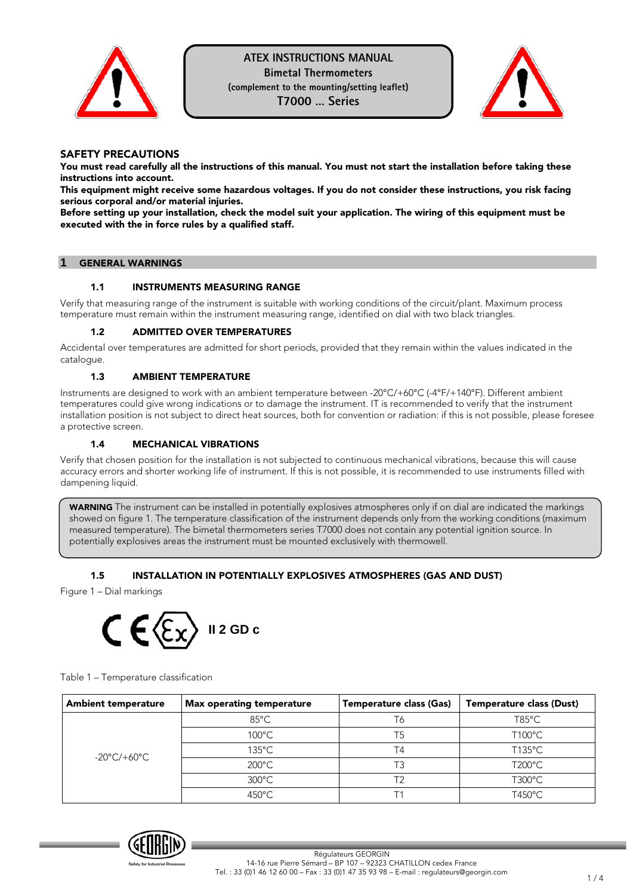



## SAFETY PRECAUTIONS

You must read carefully all the instructions of this manual. You must not start the installation before taking these instructions into account.

This equipment might receive some hazardous voltages. If you do not consider these instructions, you risk facing serious corporal and/or material injuries.

Before setting up your installation, check the model suit your application. The wiring of this equipment must be executed with the in force rules by a qualified staff.

## **1** GENERAL WARNINGS

#### 1.1 INSTRUMENTS MEASURING RANGE

Verify that measuring range of the instrument is suitable with working conditions of the circuit/plant. Maximum process temperature must remain within the instrument measuring range, identified on dial with two black triangles.

#### 1.2 ADMITTED OVER TEMPERATURES

Accidental over temperatures are admitted for short periods, provided that they remain within the values indicated in the catalogue.

#### 1.3 AMBIENT TEMPERATURE

Instruments are designed to work with an ambient temperature between -20°C/+60°C (-4°F/+140°F). Different ambient temperatures could give wrong indications or to damage the instrument. IT is recommended to verify that the instrument installation position is not subject to direct heat sources, both for convention or radiation: if this is not possible, please foresee a protective screen.

### 1.4 MECHANICAL VIBRATIONS

Verify that chosen position for the installation is not subjected to continuous mechanical vibrations, because this will cause accuracy errors and shorter working life of instrument. If this is not possible, it is recommended to use instruments filled with dampening liquid.

WARNING The instrument can be installed in potentially explosives atmospheres only if on dial are indicated the markings showed on figure 1. The temperature classification of the instrument depends only from the working conditions (maximum measured temperature). The bimetal thermometers series T7000 does not contain any potential ignition source. In potentially explosives areas the instrument must be mounted exclusively with thermowell.

# 1.5 INSTALLATION IN POTENTIALLY EXPLOSIVES ATMOSPHERES (GAS AND DUST)

Figure 1 – Dial markings



Table 1 – Temperature classification

| <b>Ambient temperature</b> | <b>Max operating temperature</b> | Temperature class (Gas) | <b>Temperature class (Dust)</b> |
|----------------------------|----------------------------------|-------------------------|---------------------------------|
|                            | $85^{\circ}$ C                   | T6                      | $T85^{\circ}$ C                 |
|                            | $100^{\circ}$ C                  | T5                      | $T100^{\circ}$ C                |
| -20°C/+60°C                | $135^{\circ}$ C                  | T4                      | $T135^{\circ}$ C                |
|                            | $200^{\circ}$ C                  | тз                      | T200°C                          |
|                            | $300^{\circ}$ C                  |                         | $T300^{\circ}$ C                |
|                            | $450^{\circ}$ C                  |                         | $T450^{\circ}$ C                |

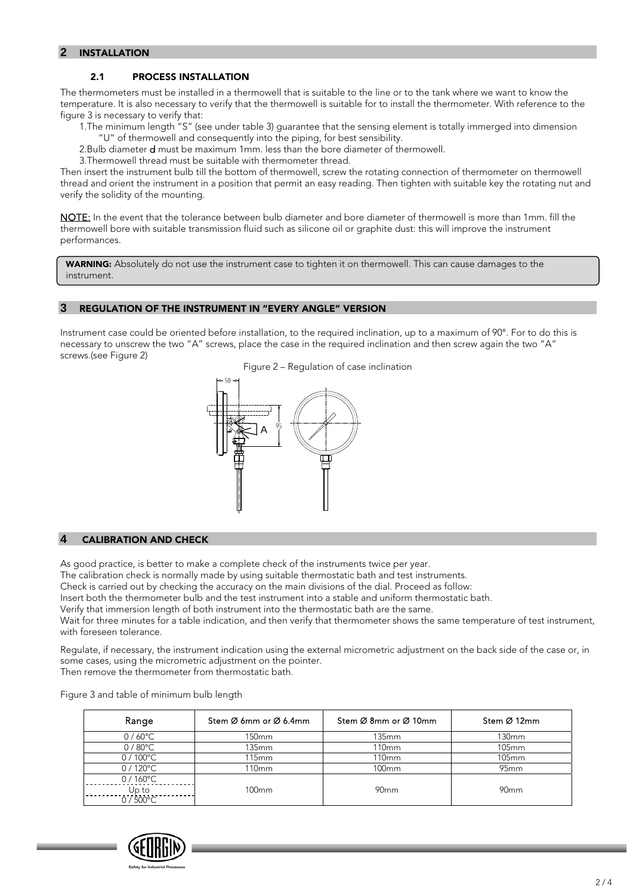## **2** INSTALLATION

### 2.1 PROCESS INSTALLATION

The thermometers must be installed in a thermowell that is suitable to the line or to the tank where we want to know the temperature. It is also necessary to verify that the thermowell is suitable for to install the thermometer. With reference to the figure 3 is necessary to verify that:

1.The minimum length "S" (see under table 3) guarantee that the sensing element is totally immerged into dimension "U" of thermowell and consequently into the piping, for best sensibility.

2.Bulb diameter d must be maximum 1mm. less than the bore diameter of thermowell.

3.Thermowell thread must be suitable with thermometer thread.

Then insert the instrument bulb till the bottom of thermowell, screw the rotating connection of thermometer on thermowell thread and orient the instrument in a position that permit an easy reading. Then tighten with suitable key the rotating nut and verify the solidity of the mounting.

NOTE: In the event that the tolerance between bulb diameter and bore diameter of thermowell is more than 1mm. fill the thermowell bore with suitable transmission fluid such as silicone oil or graphite dust: this will improve the instrument performances.

WARNING: Absolutely do not use the instrument case to tighten it on thermowell. This can cause damages to the instrument.

#### **3** REGULATION OF THE INSTRUMENT IN "EVERY ANGLE" VERSION

Instrument case could be oriented before installation, to the required inclination, up to a maximum of 90°. For to do this is necessary to unscrew the two "A" screws, place the case in the required inclination and then screw again the two "A" screws.(see Figure 2)



#### **4** CALIBRATION AND CHECK

As good practice, is better to make a complete check of the instruments twice per year.

The calibration check is normally made by using suitable thermostatic bath and test instruments.

Check is carried out by checking the accuracy on the main divisions of the dial. Proceed as follow:

Insert both the thermometer bulb and the test instrument into a stable and uniform thermostatic bath.

Verify that immersion length of both instrument into the thermostatic bath are the same.

Wait for three minutes for a table indication, and then verify that thermometer shows the same temperature of test instrument, with foreseen tolerance.

Regulate, if necessary, the instrument indication using the external micrometric adjustment on the back side of the case or, in some cases, using the micrometric adjustment on the pointer.

Then remove the thermometer from thermostatic bath.

Figure 3 and table of minimum bulb length

| Range             | Stem Ø 6mm or Ø 6.4mm | Stem Ø 8mm or Ø 10mm | Stem Ø 12mm      |
|-------------------|-----------------------|----------------------|------------------|
| $0/60^{\circ}$ C  | 150 <sub>mm</sub>     | 135mm                | 130mm            |
| $0/80^{\circ}$ C  | 135mm                 | <b>110mm</b>         | 105mm            |
| $0/100^{\circ}$ C | 115mm                 | 110 <sub>mm</sub>    | 105mm            |
| $0/120^{\circ}$ C | 110mm                 | 100 <sub>mm</sub>    | 95 <sub>mm</sub> |
| $0/160^{\circ}$ C |                       |                      |                  |
| Up to             | $100 \text{mm}$       | 90 <sub>mm</sub>     | 90 <sub>mm</sub> |
| $0/500^{\circ}$ C |                       |                      |                  |

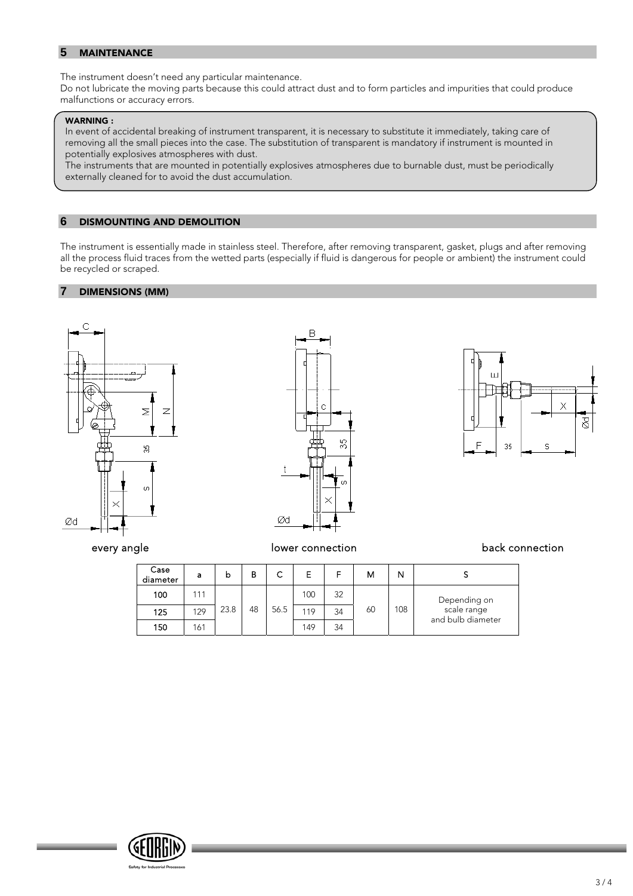## **5** MAINTENANCE

The instrument doesn't need any particular maintenance.

Do not lubricate the moving parts because this could attract dust and to form particles and impurities that could produce malfunctions or accuracy errors.

#### WARNING :

In event of accidental breaking of instrument transparent, it is necessary to substitute it immediately, taking care of removing all the small pieces into the case. The substitution of transparent is mandatory if instrument is mounted in potentially explosives atmospheres with dust.

The instruments that are mounted in potentially explosives atmospheres due to burnable dust, must be periodically externally cleaned for to avoid the dust accumulation.

#### **6** DISMOUNTING AND DEMOLITION

The instrument is essentially made in stainless steel. Therefore, after removing transparent, gasket, plugs and after removing all the process fluid traces from the wetted parts (especially if fluid is dangerous for people or ambient) the instrument could be recycled or scraped.

### **7** DIMENSIONS (MM)







# every angle and the lower connection back connection back connection

| Case<br>diameter | a   | b    | в  | ⌒    | Е   |    | м  |     |                                  |
|------------------|-----|------|----|------|-----|----|----|-----|----------------------------------|
| 100              | 111 |      |    |      | 100 | 32 |    |     | Depending on                     |
| 125              | 129 | 23.8 | 48 | 56.5 | 119 | 34 | 60 | 108 | scale range<br>and bulb diameter |
| 150              | 161 |      |    |      | 149 | 34 |    |     |                                  |